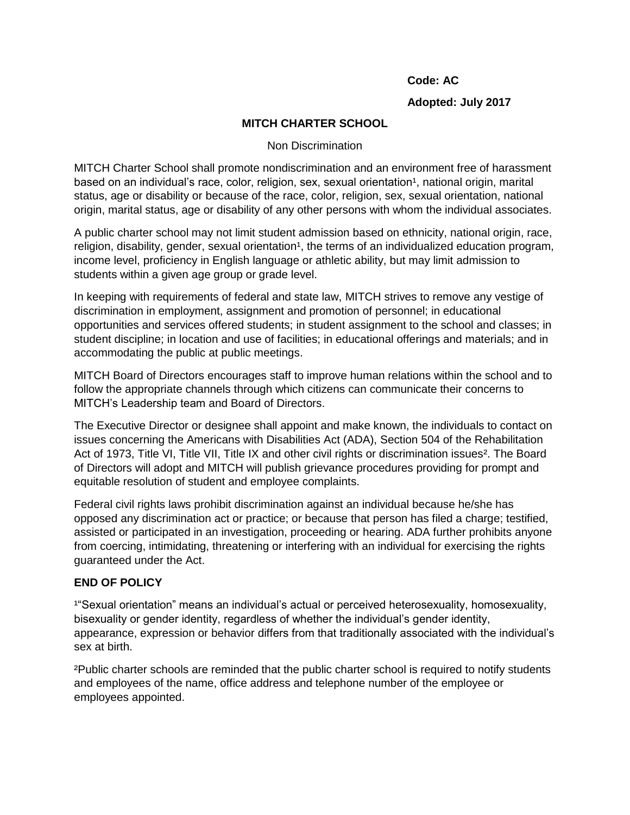## **Code: AC**

# **Adopted: July 2017**

# **MITCH CHARTER SCHOOL**

### Non Discrimination

MITCH Charter School shall promote nondiscrimination and an environment free of harassment based on an individual's race, color, religion, sex, sexual orientation<sup>1</sup>, national origin, marital status, age or disability or because of the race, color, religion, sex, sexual orientation, national origin, marital status, age or disability of any other persons with whom the individual associates.

A public charter school may not limit student admission based on ethnicity, national origin, race, religion, disability, gender, sexual orientation<sup>1</sup>, the terms of an individualized education program, income level, proficiency in English language or athletic ability, but may limit admission to students within a given age group or grade level.

In keeping with requirements of federal and state law, MITCH strives to remove any vestige of discrimination in employment, assignment and promotion of personnel; in educational opportunities and services offered students; in student assignment to the school and classes; in student discipline; in location and use of facilities; in educational offerings and materials; and in accommodating the public at public meetings.

MITCH Board of Directors encourages staff to improve human relations within the school and to follow the appropriate channels through which citizens can communicate their concerns to MITCH's Leadership team and Board of Directors.

The Executive Director or designee shall appoint and make known, the individuals to contact on issues concerning the Americans with Disabilities Act (ADA), Section 504 of the Rehabilitation Act of 1973, Title VI, Title VII, Title IX and other civil rights or discrimination issues². The Board of Directors will adopt and MITCH will publish grievance procedures providing for prompt and equitable resolution of student and employee complaints.

Federal civil rights laws prohibit discrimination against an individual because he/she has opposed any discrimination act or practice; or because that person has filed a charge; testified, assisted or participated in an investigation, proceeding or hearing. ADA further prohibits anyone from coercing, intimidating, threatening or interfering with an individual for exercising the rights guaranteed under the Act.

### **END OF POLICY**

<sup>1</sup>"Sexual orientation" means an individual's actual or perceived heterosexuality, homosexuality, bisexuality or gender identity, regardless of whether the individual's gender identity, appearance, expression or behavior differs from that traditionally associated with the individual's sex at birth.

²Public charter schools are reminded that the public charter school is required to notify students and employees of the name, office address and telephone number of the employee or employees appointed.